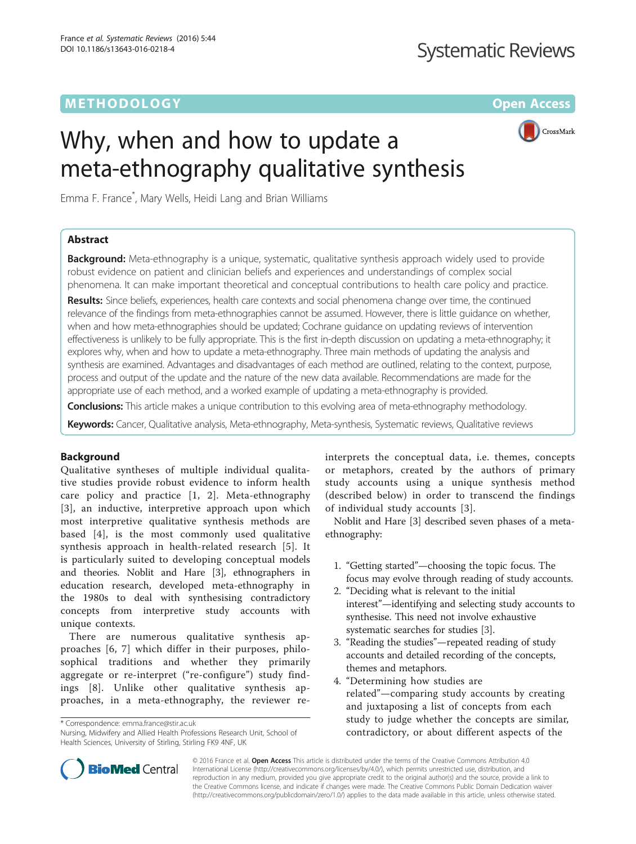## METHODOLOGY CONTROL CONTROL CONTROL CONTROL CONTROL CONTROL CONTROL CONTROL CONTROL CONTROL CONTROL CONTROL CO

CrossMark

# Why, when and how to update a meta-ethnography qualitative synthesis

Emma F. France\* , Mary Wells, Heidi Lang and Brian Williams

## Abstract

**Background:** Meta-ethnography is a unique, systematic, qualitative synthesis approach widely used to provide robust evidence on patient and clinician beliefs and experiences and understandings of complex social phenomena. It can make important theoretical and conceptual contributions to health care policy and practice.

Results: Since beliefs, experiences, health care contexts and social phenomena change over time, the continued relevance of the findings from meta-ethnographies cannot be assumed. However, there is little guidance on whether, when and how meta-ethnographies should be updated; Cochrane guidance on updating reviews of intervention effectiveness is unlikely to be fully appropriate. This is the first in-depth discussion on updating a meta-ethnography; it explores why, when and how to update a meta-ethnography. Three main methods of updating the analysis and synthesis are examined. Advantages and disadvantages of each method are outlined, relating to the context, purpose, process and output of the update and the nature of the new data available. Recommendations are made for the appropriate use of each method, and a worked example of updating a meta-ethnography is provided.

**Conclusions:** This article makes a unique contribution to this evolving area of meta-ethnography methodology.

Keywords: Cancer, Qualitative analysis, Meta-ethnography, Meta-synthesis, Systematic reviews, Qualitative reviews

## Background

Qualitative syntheses of multiple individual qualitative studies provide robust evidence to inform health care policy and practice [[1](#page-10-0), [2](#page-10-0)]. Meta-ethnography [[3](#page-10-0)], an inductive, interpretive approach upon which most interpretive qualitative synthesis methods are based [[4\]](#page-10-0), is the most commonly used qualitative synthesis approach in health-related research [[5\]](#page-10-0). It is particularly suited to developing conceptual models and theories. Noblit and Hare [[3\]](#page-10-0), ethnographers in education research, developed meta-ethnography in the 1980s to deal with synthesising contradictory concepts from interpretive study accounts with unique contexts.

There are numerous qualitative synthesis approaches [[6](#page-10-0), [7](#page-10-0)] which differ in their purposes, philosophical traditions and whether they primarily aggregate or re-interpret ("re-configure") study findings [[8\]](#page-10-0). Unlike other qualitative synthesis approaches, in a meta-ethnography, the reviewer re-

\* Correspondence: [emma.france@stir.ac.uk](mailto:emma.france@stir.ac.uk)

Nursing, Midwifery and Allied Health Professions Research Unit, School of Health Sciences, University of Stirling, Stirling FK9 4NF, UK

interprets the conceptual data, i.e. themes, concepts or metaphors, created by the authors of primary study accounts using a unique synthesis method (described below) in order to transcend the findings of individual study accounts [[3\]](#page-10-0).

Noblit and Hare [[3\]](#page-10-0) described seven phases of a metaethnography:

- 1. "Getting started"—choosing the topic focus. The focus may evolve through reading of study accounts.
- 2. "Deciding what is relevant to the initial interest"—identifying and selecting study accounts to synthesise. This need not involve exhaustive systematic searches for studies [[3](#page-10-0)].
- 3. "Reading the studies"—repeated reading of study accounts and detailed recording of the concepts, themes and metaphors.
- 4. "Determining how studies are related"—comparing study accounts by creating and juxtaposing a list of concepts from each study to judge whether the concepts are similar, contradictory, or about different aspects of the



© 2016 France et al. Open Access This article is distributed under the terms of the Creative Commons Attribution 4.0 International License [\(http://creativecommons.org/licenses/by/4.0/](http://creativecommons.org/licenses/by/4.0/)), which permits unrestricted use, distribution, and reproduction in any medium, provided you give appropriate credit to the original author(s) and the source, provide a link to the Creative Commons license, and indicate if changes were made. The Creative Commons Public Domain Dedication waiver [\(http://creativecommons.org/publicdomain/zero/1.0/](http://creativecommons.org/publicdomain/zero/1.0/)) applies to the data made available in this article, unless otherwise stated.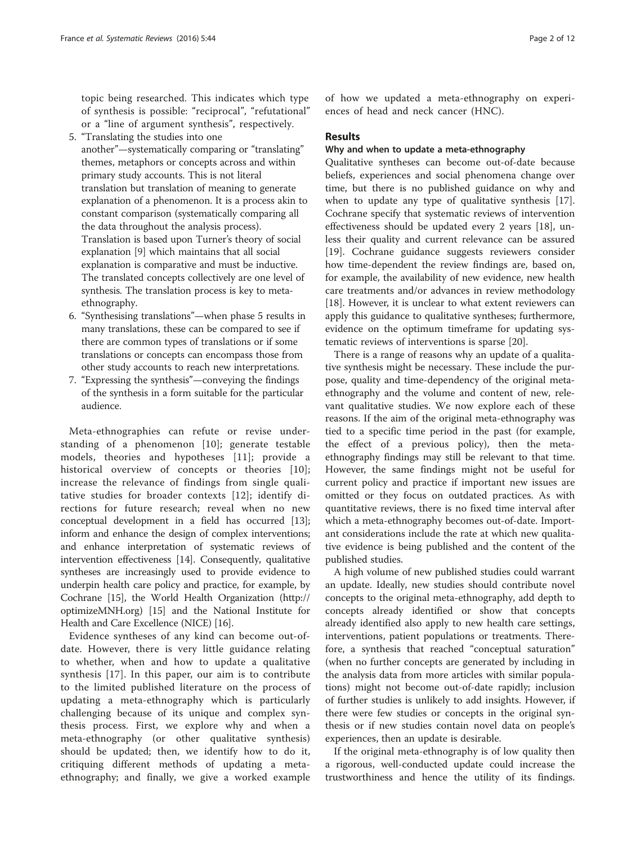topic being researched. This indicates which type of synthesis is possible: "reciprocal", "refutational" or a "line of argument synthesis", respectively.

- 5. "Translating the studies into one another"—systematically comparing or "translating" themes, metaphors or concepts across and within primary study accounts. This is not literal translation but translation of meaning to generate explanation of a phenomenon. It is a process akin to constant comparison (systematically comparing all the data throughout the analysis process). Translation is based upon Turner's theory of social explanation [[9\]](#page-10-0) which maintains that all social explanation is comparative and must be inductive. The translated concepts collectively are one level of synthesis. The translation process is key to metaethnography.
- 6. "Synthesising translations"—when phase 5 results in many translations, these can be compared to see if there are common types of translations or if some translations or concepts can encompass those from other study accounts to reach new interpretations.
- 7. "Expressing the synthesis"—conveying the findings of the synthesis in a form suitable for the particular audience.

Meta-ethnographies can refute or revise understanding of a phenomenon [[10\]](#page-10-0); generate testable models, theories and hypotheses [[11](#page-10-0)]; provide a historical overview of concepts or theories [[10](#page-10-0)]; increase the relevance of findings from single qualitative studies for broader contexts [\[12\]](#page-10-0); identify directions for future research; reveal when no new conceptual development in a field has occurred [[13](#page-10-0)]; inform and enhance the design of complex interventions; and enhance interpretation of systematic reviews of intervention effectiveness [\[14\]](#page-10-0). Consequently, qualitative syntheses are increasingly used to provide evidence to underpin health care policy and practice, for example, by Cochrane [[15](#page-10-0)], the World Health Organization ([http://](http://optimizemnh.org/) [optimizeMNH.org\)](http://optimizemnh.org/) [[15](#page-10-0)] and the National Institute for Health and Care Excellence (NICE) [\[16\]](#page-10-0).

Evidence syntheses of any kind can become out-ofdate. However, there is very little guidance relating to whether, when and how to update a qualitative synthesis [\[17\]](#page-10-0). In this paper, our aim is to contribute to the limited published literature on the process of updating a meta-ethnography which is particularly challenging because of its unique and complex synthesis process. First, we explore why and when a meta-ethnography (or other qualitative synthesis) should be updated; then, we identify how to do it, critiquing different methods of updating a metaethnography; and finally, we give a worked example

of how we updated a meta-ethnography on experiences of head and neck cancer (HNC).

## Results

## Why and when to update a meta-ethnography

Qualitative syntheses can become out-of-date because beliefs, experiences and social phenomena change over time, but there is no published guidance on why and when to update any type of qualitative synthesis [\[17](#page-10-0)]. Cochrane specify that systematic reviews of intervention effectiveness should be updated every 2 years [[18\]](#page-10-0), unless their quality and current relevance can be assured [[19\]](#page-10-0). Cochrane guidance suggests reviewers consider how time-dependent the review findings are, based on, for example, the availability of new evidence, new health care treatments and/or advances in review methodology [[18\]](#page-10-0). However, it is unclear to what extent reviewers can apply this guidance to qualitative syntheses; furthermore, evidence on the optimum timeframe for updating systematic reviews of interventions is sparse [[20](#page-10-0)].

There is a range of reasons why an update of a qualitative synthesis might be necessary. These include the purpose, quality and time-dependency of the original metaethnography and the volume and content of new, relevant qualitative studies. We now explore each of these reasons. If the aim of the original meta-ethnography was tied to a specific time period in the past (for example, the effect of a previous policy), then the metaethnography findings may still be relevant to that time. However, the same findings might not be useful for current policy and practice if important new issues are omitted or they focus on outdated practices. As with quantitative reviews, there is no fixed time interval after which a meta-ethnography becomes out-of-date. Important considerations include the rate at which new qualitative evidence is being published and the content of the published studies.

A high volume of new published studies could warrant an update. Ideally, new studies should contribute novel concepts to the original meta-ethnography, add depth to concepts already identified or show that concepts already identified also apply to new health care settings, interventions, patient populations or treatments. Therefore, a synthesis that reached "conceptual saturation" (when no further concepts are generated by including in the analysis data from more articles with similar populations) might not become out-of-date rapidly; inclusion of further studies is unlikely to add insights. However, if there were few studies or concepts in the original synthesis or if new studies contain novel data on people's experiences, then an update is desirable.

If the original meta-ethnography is of low quality then a rigorous, well-conducted update could increase the trustworthiness and hence the utility of its findings.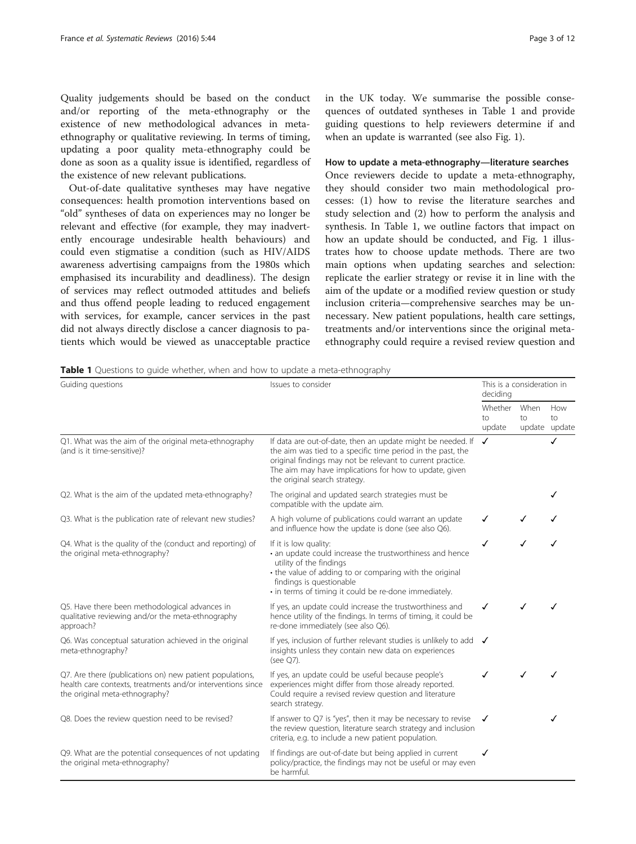<span id="page-2-0"></span>Quality judgements should be based on the conduct and/or reporting of the meta-ethnography or the existence of new methodological advances in metaethnography or qualitative reviewing. In terms of timing, updating a poor quality meta-ethnography could be done as soon as a quality issue is identified, regardless of the existence of new relevant publications.

Out-of-date qualitative syntheses may have negative consequences: health promotion interventions based on "old" syntheses of data on experiences may no longer be relevant and effective (for example, they may inadvertently encourage undesirable health behaviours) and could even stigmatise a condition (such as HIV/AIDS awareness advertising campaigns from the 1980s which emphasised its incurability and deadliness). The design of services may reflect outmoded attitudes and beliefs and thus offend people leading to reduced engagement with services, for example, cancer services in the past did not always directly disclose a cancer diagnosis to patients which would be viewed as unacceptable practice

in the UK today. We summarise the possible consequences of outdated syntheses in Table 1 and provide guiding questions to help reviewers determine if and when an update is warranted (see also Fig. [1](#page-3-0)).

## How to update a meta-ethnography—literature searches

Once reviewers decide to update a meta-ethnography, they should consider two main methodological processes: (1) how to revise the literature searches and study selection and (2) how to perform the analysis and synthesis. In Table 1, we outline factors that impact on how an update should be conducted, and Fig. [1](#page-3-0) illustrates how to choose update methods. There are two main options when updating searches and selection: replicate the earlier strategy or revise it in line with the aim of the update or a modified review question or study inclusion criteria—comprehensive searches may be unnecessary. New patient populations, health care settings, treatments and/or interventions since the original metaethnography could require a revised review question and

**Table 1** Ouestions to guide whether, when and how to update a meta-ethnography

| Guiding questions                                                                                                                                         | Issues to consider                                                                                                                                                                                                                                                                  | This is a consideration in<br>deciding |            |                            |
|-----------------------------------------------------------------------------------------------------------------------------------------------------------|-------------------------------------------------------------------------------------------------------------------------------------------------------------------------------------------------------------------------------------------------------------------------------------|----------------------------------------|------------|----------------------------|
|                                                                                                                                                           |                                                                                                                                                                                                                                                                                     |                                        | When<br>to | How<br>to<br>update update |
| Q1. What was the aim of the original meta-ethnography<br>(and is it time-sensitive)?                                                                      | If data are out-of-date, then an update might be needed. If<br>the aim was tied to a specific time period in the past, the<br>original findings may not be relevant to current practice.<br>The aim may have implications for how to update, given<br>the original search strategy. | ✓                                      |            | ✓                          |
| Q2. What is the aim of the updated meta-ethnography?                                                                                                      | The original and updated search strategies must be<br>compatible with the update aim.                                                                                                                                                                                               |                                        |            |                            |
| Q3. What is the publication rate of relevant new studies?                                                                                                 | A high volume of publications could warrant an update<br>and influence how the update is done (see also Q6).                                                                                                                                                                        | ✓                                      |            |                            |
| Q4. What is the quality of the (conduct and reporting) of<br>the original meta-ethnography?                                                               | If it is low quality:<br>• an update could increase the trustworthiness and hence<br>utility of the findings<br>• the value of adding to or comparing with the original<br>findings is questionable<br>· in terms of timing it could be re-done immediately.                        | ✓                                      |            |                            |
| Q5. Have there been methodological advances in<br>qualitative reviewing and/or the meta-ethnography<br>approach?                                          | If yes, an update could increase the trustworthiness and<br>hence utility of the findings. In terms of timing, it could be<br>re-done immediately (see also Q6).                                                                                                                    | ✓                                      |            |                            |
| Q6. Was conceptual saturation achieved in the original<br>meta-ethnography?                                                                               | If yes, inclusion of further relevant studies is unlikely to add<br>insights unless they contain new data on experiences<br>(see O7).                                                                                                                                               | $\checkmark$                           |            |                            |
| Q7. Are there (publications on) new patient populations,<br>health care contexts, treatments and/or interventions since<br>the original meta-ethnography? | If yes, an update could be useful because people's<br>experiences might differ from those already reported.<br>Could require a revised review question and literature<br>search strategy.                                                                                           | ✓                                      |            |                            |
| Q8. Does the review question need to be revised?                                                                                                          | If answer to Q7 is "yes", then it may be necessary to revise<br>the review question, literature search strategy and inclusion<br>criteria, e.g. to include a new patient population.                                                                                                | √                                      |            |                            |
| Q9. What are the potential consequences of not updating<br>the original meta-ethnography?                                                                 | If findings are out-of-date but being applied in current<br>policy/practice, the findings may not be useful or may even<br>be harmful.                                                                                                                                              | ✓                                      |            |                            |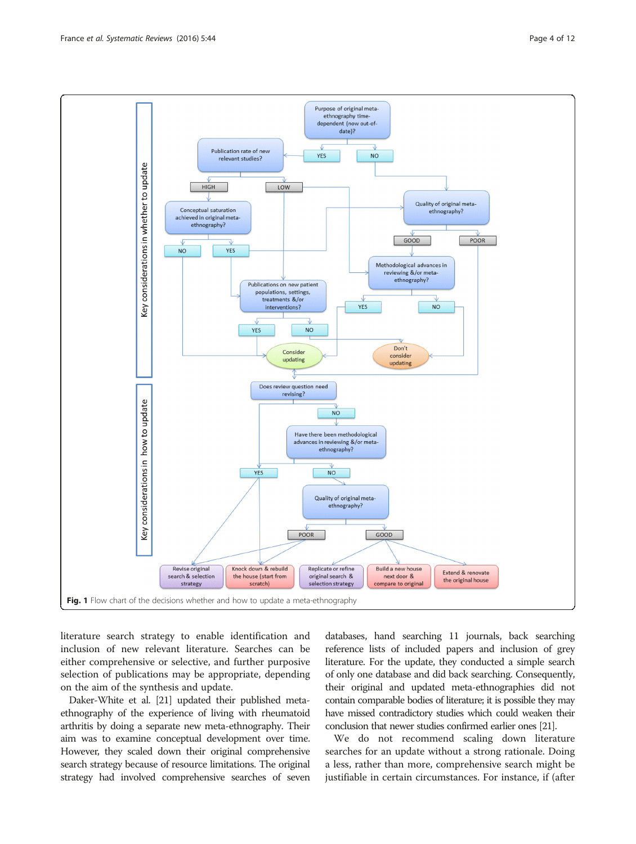<span id="page-3-0"></span>

literature search strategy to enable identification and inclusion of new relevant literature. Searches can be either comprehensive or selective, and further purposive selection of publications may be appropriate, depending on the aim of the synthesis and update.

Daker-White et al. [[21](#page-10-0)] updated their published metaethnography of the experience of living with rheumatoid arthritis by doing a separate new meta-ethnography. Their aim was to examine conceptual development over time. However, they scaled down their original comprehensive search strategy because of resource limitations. The original strategy had involved comprehensive searches of seven

databases, hand searching 11 journals, back searching reference lists of included papers and inclusion of grey literature. For the update, they conducted a simple search of only one database and did back searching. Consequently, their original and updated meta-ethnographies did not contain comparable bodies of literature; it is possible they may have missed contradictory studies which could weaken their conclusion that newer studies confirmed earlier ones [\[21\]](#page-10-0).

We do not recommend scaling down literature searches for an update without a strong rationale. Doing a less, rather than more, comprehensive search might be justifiable in certain circumstances. For instance, if (after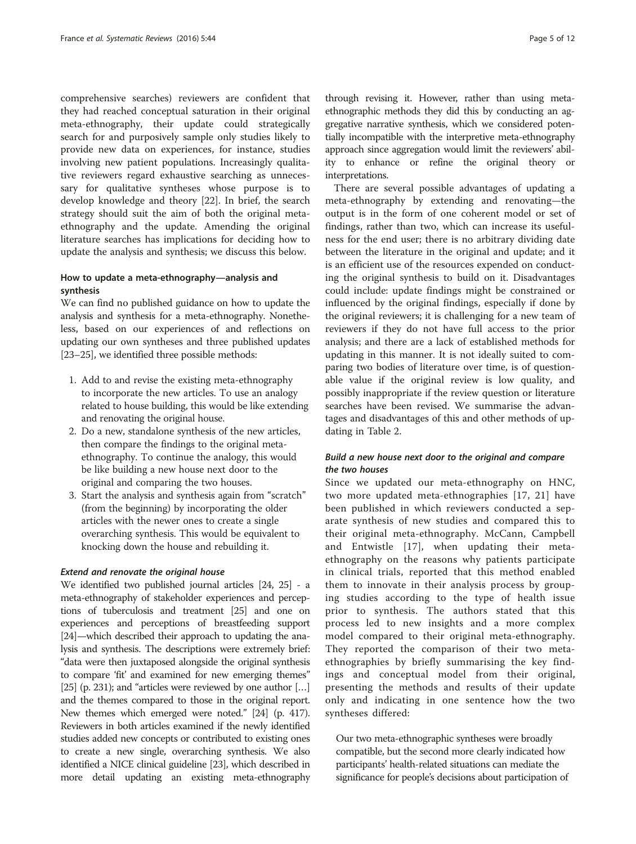comprehensive searches) reviewers are confident that they had reached conceptual saturation in their original meta-ethnography, their update could strategically search for and purposively sample only studies likely to provide new data on experiences, for instance, studies involving new patient populations. Increasingly qualitative reviewers regard exhaustive searching as unnecessary for qualitative syntheses whose purpose is to develop knowledge and theory [[22](#page-10-0)]. In brief, the search strategy should suit the aim of both the original metaethnography and the update. Amending the original literature searches has implications for deciding how to update the analysis and synthesis; we discuss this below.

## How to update a meta-ethnography—analysis and synthesis

We can find no published guidance on how to update the analysis and synthesis for a meta-ethnography. Nonetheless, based on our experiences of and reflections on updating our own syntheses and three published updates [[23](#page-10-0)–[25\]](#page-10-0), we identified three possible methods:

- 1. Add to and revise the existing meta-ethnography to incorporate the new articles. To use an analogy related to house building, this would be like extending and renovating the original house.
- 2. Do a new, standalone synthesis of the new articles, then compare the findings to the original metaethnography. To continue the analogy, this would be like building a new house next door to the original and comparing the two houses.
- 3. Start the analysis and synthesis again from "scratch" (from the beginning) by incorporating the older articles with the newer ones to create a single overarching synthesis. This would be equivalent to knocking down the house and rebuilding it.

## Extend and renovate the original house

We identified two published journal articles [\[24, 25\]](#page-10-0) - a meta-ethnography of stakeholder experiences and perceptions of tuberculosis and treatment [\[25\]](#page-10-0) and one on experiences and perceptions of breastfeeding support [[24](#page-10-0)]—which described their approach to updating the analysis and synthesis. The descriptions were extremely brief: "data were then juxtaposed alongside the original synthesis to compare 'fit' and examined for new emerging themes" [[25](#page-10-0)] (p. 231); and "articles were reviewed by one author […] and the themes compared to those in the original report. New themes which emerged were noted." [\[24](#page-10-0)] (p. 417). Reviewers in both articles examined if the newly identified studies added new concepts or contributed to existing ones to create a new single, overarching synthesis. We also identified a NICE clinical guideline [\[23\]](#page-10-0), which described in more detail updating an existing meta-ethnography

through revising it. However, rather than using metaethnographic methods they did this by conducting an aggregative narrative synthesis, which we considered potentially incompatible with the interpretive meta-ethnography approach since aggregation would limit the reviewers' ability to enhance or refine the original theory or interpretations.

There are several possible advantages of updating a meta-ethnography by extending and renovating—the output is in the form of one coherent model or set of findings, rather than two, which can increase its usefulness for the end user; there is no arbitrary dividing date between the literature in the original and update; and it is an efficient use of the resources expended on conducting the original synthesis to build on it. Disadvantages could include: update findings might be constrained or influenced by the original findings, especially if done by the original reviewers; it is challenging for a new team of reviewers if they do not have full access to the prior analysis; and there are a lack of established methods for updating in this manner. It is not ideally suited to comparing two bodies of literature over time, is of questionable value if the original review is low quality, and possibly inappropriate if the review question or literature searches have been revised. We summarise the advantages and disadvantages of this and other methods of updating in Table [2.](#page-5-0)

## Build a new house next door to the original and compare the two houses

Since we updated our meta-ethnography on HNC, two more updated meta-ethnographies [[17](#page-10-0), [21](#page-10-0)] have been published in which reviewers conducted a separate synthesis of new studies and compared this to their original meta-ethnography. McCann, Campbell and Entwistle [[17](#page-10-0)], when updating their metaethnography on the reasons why patients participate in clinical trials, reported that this method enabled them to innovate in their analysis process by grouping studies according to the type of health issue prior to synthesis. The authors stated that this process led to new insights and a more complex model compared to their original meta-ethnography. They reported the comparison of their two metaethnographies by briefly summarising the key findings and conceptual model from their original, presenting the methods and results of their update only and indicating in one sentence how the two syntheses differed:

Our two meta-ethnographic syntheses were broadly compatible, but the second more clearly indicated how participants' health-related situations can mediate the significance for people's decisions about participation of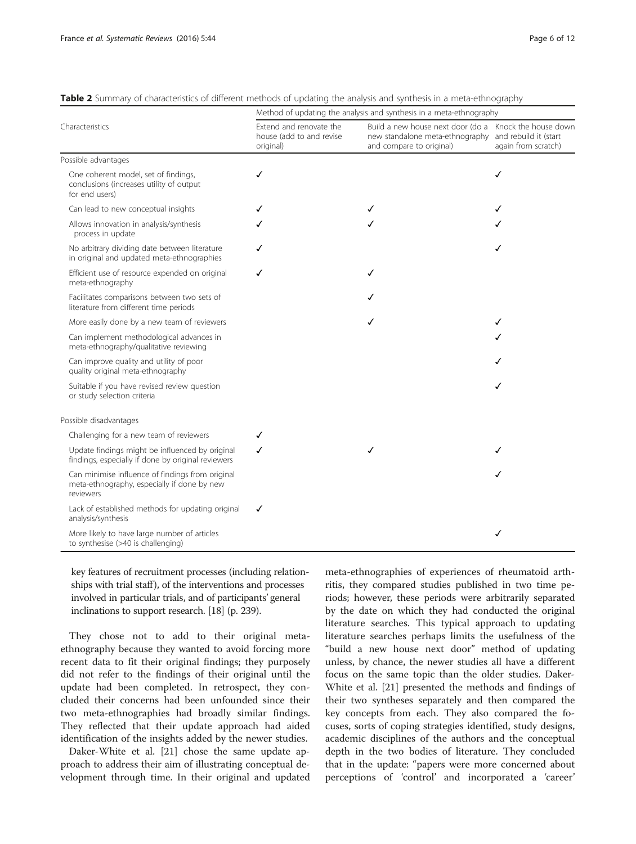<span id="page-5-0"></span>

| Table 2 Summary of characteristics of different methods of updating the analysis and synthesis in a meta-ethnography |  |  |  |  |
|----------------------------------------------------------------------------------------------------------------------|--|--|--|--|
|----------------------------------------------------------------------------------------------------------------------|--|--|--|--|

|                                                                                                              | Method of updating the analysis and synthesis in a meta-ethnography |                                                                                                                       |                                              |  |  |
|--------------------------------------------------------------------------------------------------------------|---------------------------------------------------------------------|-----------------------------------------------------------------------------------------------------------------------|----------------------------------------------|--|--|
| Characteristics                                                                                              | Extend and renovate the<br>house (add to and revise<br>original)    | Build a new house next door (do a Knock the house down<br>new standalone meta-ethnography<br>and compare to original) | and rebuild it (start<br>again from scratch) |  |  |
| Possible advantages                                                                                          |                                                                     |                                                                                                                       |                                              |  |  |
| One coherent model, set of findings,<br>conclusions (increases utility of output<br>for end users)           | ✓                                                                   |                                                                                                                       | ✓                                            |  |  |
| Can lead to new conceptual insights                                                                          | ✓                                                                   | ✓                                                                                                                     | ✓                                            |  |  |
| Allows innovation in analysis/synthesis<br>process in update                                                 |                                                                     |                                                                                                                       |                                              |  |  |
| No arbitrary dividing date between literature<br>in original and updated meta-ethnographies                  | ℐ                                                                   |                                                                                                                       |                                              |  |  |
| Efficient use of resource expended on original<br>meta-ethnography                                           | ✓                                                                   | ✓                                                                                                                     |                                              |  |  |
| Facilitates comparisons between two sets of<br>literature from different time periods                        |                                                                     | ✓                                                                                                                     |                                              |  |  |
| More easily done by a new team of reviewers                                                                  |                                                                     | ✓                                                                                                                     | ✓                                            |  |  |
| Can implement methodological advances in<br>meta-ethnography/qualitative reviewing                           |                                                                     |                                                                                                                       |                                              |  |  |
| Can improve quality and utility of poor<br>quality original meta-ethnography                                 |                                                                     |                                                                                                                       |                                              |  |  |
| Suitable if you have revised review question<br>or study selection criteria                                  |                                                                     |                                                                                                                       | ✓                                            |  |  |
| Possible disadvantages                                                                                       |                                                                     |                                                                                                                       |                                              |  |  |
| Challenging for a new team of reviewers                                                                      | ✓                                                                   |                                                                                                                       |                                              |  |  |
| Update findings might be influenced by original<br>findings, especially if done by original reviewers        | ✓                                                                   | ✓                                                                                                                     | ✓                                            |  |  |
| Can minimise influence of findings from original<br>meta-ethnography, especially if done by new<br>reviewers |                                                                     |                                                                                                                       | ✓                                            |  |  |
| Lack of established methods for updating original<br>analysis/synthesis                                      | ✓                                                                   |                                                                                                                       |                                              |  |  |
| More likely to have large number of articles<br>to synthesise (>40 is challenging)                           |                                                                     |                                                                                                                       |                                              |  |  |

key features of recruitment processes (including relationships with trial staff), of the interventions and processes involved in particular trials, and of participants' general inclinations to support research. [[18](#page-10-0)] (p. 239).

They chose not to add to their original metaethnography because they wanted to avoid forcing more recent data to fit their original findings; they purposely did not refer to the findings of their original until the update had been completed. In retrospect, they concluded their concerns had been unfounded since their two meta-ethnographies had broadly similar findings. They reflected that their update approach had aided identification of the insights added by the newer studies.

Daker-White et al. [[21](#page-10-0)] chose the same update approach to address their aim of illustrating conceptual development through time. In their original and updated

meta-ethnographies of experiences of rheumatoid arthritis, they compared studies published in two time periods; however, these periods were arbitrarily separated by the date on which they had conducted the original literature searches. This typical approach to updating literature searches perhaps limits the usefulness of the "build a new house next door" method of updating unless, by chance, the newer studies all have a different focus on the same topic than the older studies. Daker-White et al. [[21\]](#page-10-0) presented the methods and findings of their two syntheses separately and then compared the key concepts from each. They also compared the focuses, sorts of coping strategies identified, study designs, academic disciplines of the authors and the conceptual depth in the two bodies of literature. They concluded that in the update: "papers were more concerned about perceptions of 'control' and incorporated a 'career'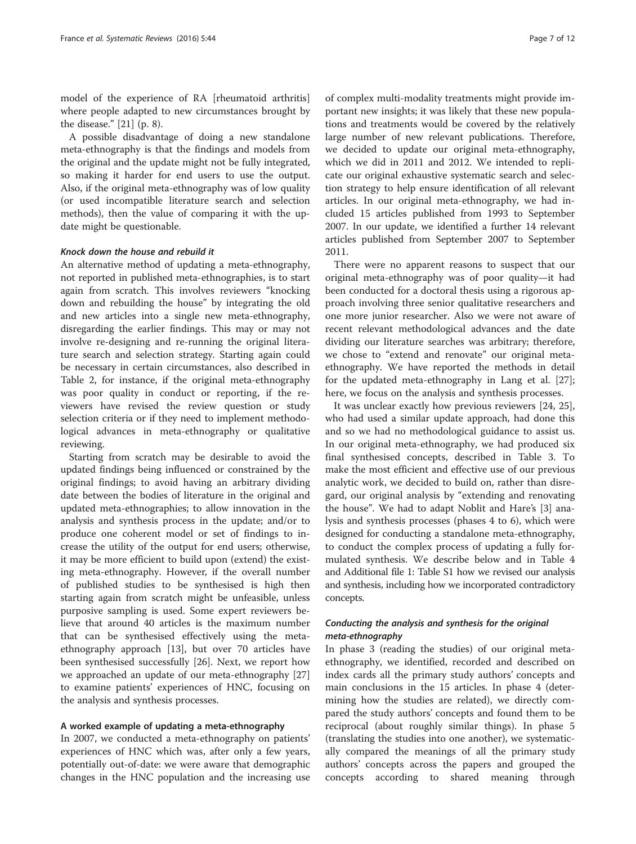model of the experience of RA [rheumatoid arthritis] where people adapted to new circumstances brought by the disease." [[21\]](#page-10-0) (p. 8).

A possible disadvantage of doing a new standalone meta-ethnography is that the findings and models from the original and the update might not be fully integrated, so making it harder for end users to use the output. Also, if the original meta-ethnography was of low quality (or used incompatible literature search and selection methods), then the value of comparing it with the update might be questionable.

#### Knock down the house and rebuild it

An alternative method of updating a meta-ethnography, not reported in published meta-ethnographies, is to start again from scratch. This involves reviewers "knocking down and rebuilding the house" by integrating the old and new articles into a single new meta-ethnography, disregarding the earlier findings. This may or may not involve re-designing and re-running the original literature search and selection strategy. Starting again could be necessary in certain circumstances, also described in Table [2](#page-5-0), for instance, if the original meta-ethnography was poor quality in conduct or reporting, if the reviewers have revised the review question or study selection criteria or if they need to implement methodological advances in meta-ethnography or qualitative reviewing.

Starting from scratch may be desirable to avoid the updated findings being influenced or constrained by the original findings; to avoid having an arbitrary dividing date between the bodies of literature in the original and updated meta-ethnographies; to allow innovation in the analysis and synthesis process in the update; and/or to produce one coherent model or set of findings to increase the utility of the output for end users; otherwise, it may be more efficient to build upon (extend) the existing meta-ethnography. However, if the overall number of published studies to be synthesised is high then starting again from scratch might be unfeasible, unless purposive sampling is used. Some expert reviewers believe that around 40 articles is the maximum number that can be synthesised effectively using the metaethnography approach [[13](#page-10-0)], but over 70 articles have been synthesised successfully [\[26](#page-10-0)]. Next, we report how we approached an update of our meta-ethnography [[27](#page-10-0)] to examine patients' experiences of HNC, focusing on the analysis and synthesis processes.

#### A worked example of updating a meta-ethnography

In 2007, we conducted a meta-ethnography on patients' experiences of HNC which was, after only a few years, potentially out-of-date: we were aware that demographic changes in the HNC population and the increasing use

of complex multi-modality treatments might provide important new insights; it was likely that these new populations and treatments would be covered by the relatively large number of new relevant publications. Therefore, we decided to update our original meta-ethnography, which we did in 2011 and 2012. We intended to replicate our original exhaustive systematic search and selection strategy to help ensure identification of all relevant articles. In our original meta-ethnography, we had included 15 articles published from 1993 to September 2007. In our update, we identified a further 14 relevant articles published from September 2007 to September 2011.

There were no apparent reasons to suspect that our original meta-ethnography was of poor quality—it had been conducted for a doctoral thesis using a rigorous approach involving three senior qualitative researchers and one more junior researcher. Also we were not aware of recent relevant methodological advances and the date dividing our literature searches was arbitrary; therefore, we chose to "extend and renovate" our original metaethnography. We have reported the methods in detail for the updated meta-ethnography in Lang et al. [\[27](#page-10-0)]; here, we focus on the analysis and synthesis processes.

It was unclear exactly how previous reviewers [\[24](#page-10-0), [25](#page-10-0)], who had used a similar update approach, had done this and so we had no methodological guidance to assist us. In our original meta-ethnography, we had produced six final synthesised concepts, described in Table [3.](#page-7-0) To make the most efficient and effective use of our previous analytic work, we decided to build on, rather than disregard, our original analysis by "extending and renovating the house". We had to adapt Noblit and Hare's [\[3](#page-10-0)] analysis and synthesis processes (phases 4 to 6), which were designed for conducting a standalone meta-ethnography, to conduct the complex process of updating a fully formulated synthesis. We describe below and in Table [4](#page-8-0) and Additional file [1](#page-10-0): Table S1 how we revised our analysis and synthesis, including how we incorporated contradictory concepts.

## Conducting the analysis and synthesis for the original meta-ethnography

In phase 3 (reading the studies) of our original metaethnography, we identified, recorded and described on index cards all the primary study authors' concepts and main conclusions in the 15 articles. In phase 4 (determining how the studies are related), we directly compared the study authors' concepts and found them to be reciprocal (about roughly similar things). In phase 5 (translating the studies into one another), we systematically compared the meanings of all the primary study authors' concepts across the papers and grouped the concepts according to shared meaning through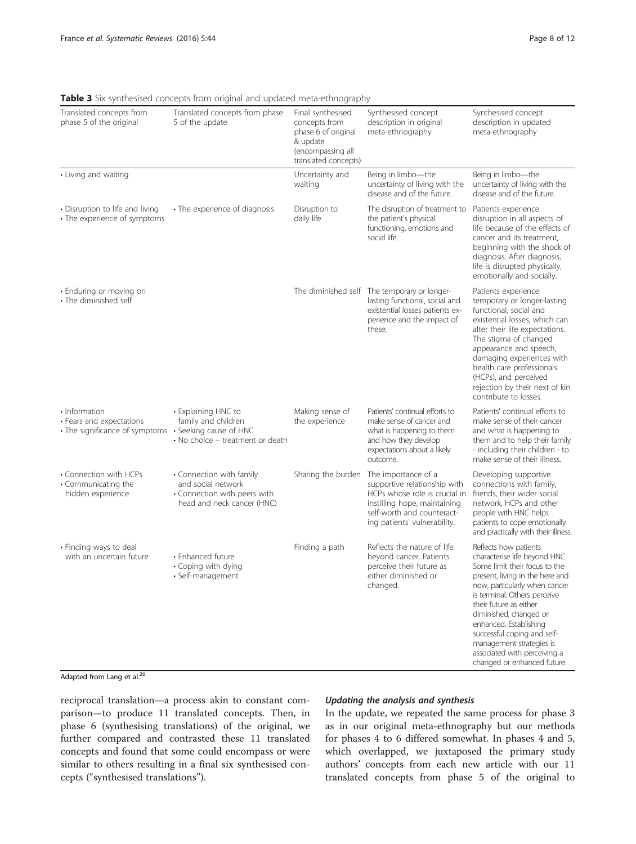|                                                                                                    | $\overline{\phantom{a}}$                                                                                     |                                                                                                                    |                                                                                                                                                                                    |                                                                                                                                                                                                                                                                                                                                                                                                     |
|----------------------------------------------------------------------------------------------------|--------------------------------------------------------------------------------------------------------------|--------------------------------------------------------------------------------------------------------------------|------------------------------------------------------------------------------------------------------------------------------------------------------------------------------------|-----------------------------------------------------------------------------------------------------------------------------------------------------------------------------------------------------------------------------------------------------------------------------------------------------------------------------------------------------------------------------------------------------|
| Translated concepts from<br>phase 5 of the original                                                | Translated concepts from phase<br>5 of the update                                                            | Final synthesised<br>concepts from<br>phase 6 of original<br>& update<br>(encompassing all<br>translated concepts) | Synthesised concept<br>description in original<br>meta-ethnography                                                                                                                 | Synthesised concept<br>description in updated<br>meta-ethnography                                                                                                                                                                                                                                                                                                                                   |
| • Living and waiting                                                                               |                                                                                                              | Uncertainty and<br>waiting                                                                                         | Being in limbo-the<br>uncertainty of living with the<br>disease and of the future.                                                                                                 | Being in limbo-the<br>uncertainty of living with the<br>disease and of the future.                                                                                                                                                                                                                                                                                                                  |
| • Disruption to life and living<br>• The experience of symptoms                                    | • The experience of diagnosis                                                                                | Disruption to<br>daily life                                                                                        | The disruption of treatment to<br>the patient's physical<br>functioning, emotions and<br>social life.                                                                              | Patients experience<br>disruption in all aspects of<br>life because of the effects of<br>cancer and its treatment,<br>beginning with the shock of<br>diagnosis. After diagnosis,<br>life is disrupted physically,<br>emotionally and socially.                                                                                                                                                      |
| • Enduring or moving on<br>• The diminished self                                                   |                                                                                                              |                                                                                                                    | The diminished self The temporary or longer-<br>lasting functional, social and<br>existential losses patients ex-<br>perience and the impact of<br>these.                          | Patients experience<br>temporary or longer-lasting<br>functional, social and<br>existential losses, which can<br>alter their life expectations.<br>The stigma of changed<br>appearance and speech,<br>damaging experiences with<br>health care professionals<br>(HCPs), and perceived<br>rejection by their next of kin<br>contribute to losses.                                                    |
| • Information<br>• Fears and expectations<br>• The significance of symptoms • Seeking cause of HNC | • Explaining HNC to<br>family and children<br>• No choice – treatment or death                               | Making sense of<br>the experience                                                                                  | Patients' continual efforts to<br>make sense of cancer and<br>what is happening to them<br>and how they develop<br>expectations about a likely<br>outcome.                         | Patients' continual efforts to<br>make sense of their cancer<br>and what is happening to<br>them and to help their family<br>- including their children - to<br>make sense of their illness.                                                                                                                                                                                                        |
| • Connection with HCPs<br>• Communicating the<br>hidden experience                                 | • Connection with family<br>and social network<br>• Connection with peers with<br>head and neck cancer (HNC) | Sharing the burden                                                                                                 | The importance of a<br>supportive relationship with<br>HCPs whose role is crucial in<br>instilling hope, maintaining<br>self-worth and counteract-<br>ing patients' vulnerability. | Developing supportive<br>connections with family,<br>friends, their wider social<br>network, HCPs and other<br>people with HNC helps<br>patients to cope emotionally<br>and practically with their illness.                                                                                                                                                                                         |
| • Finding ways to deal<br>with an uncertain future                                                 | • Enhanced future<br>• Coping with dying<br>• Self-management                                                | Finding a path                                                                                                     | Reflects the nature of life<br>beyond cancer. Patients<br>perceive their future as<br>either diminished or<br>changed.                                                             | Reflects how patients<br>characterise life beyond HNC.<br>Some limit their focus to the<br>present, living in the here and<br>now, particularly when cancer<br>is terminal. Others perceive<br>their future as either<br>diminished, changed or<br>enhanced. Establishing<br>successful coping and self-<br>management strategies is<br>associated with perceiving a<br>changed or enhanced future. |

<span id="page-7-0"></span>Table 3 Six synthesised concepts from original and updated meta-ethnography

Adapted from Lang et al.<sup>20</sup>

reciprocal translation—a process akin to constant comparison—to produce 11 translated concepts. Then, in phase 6 (synthesising translations) of the original, we further compared and contrasted these 11 translated concepts and found that some could encompass or were similar to others resulting in a final six synthesised concepts ("synthesised translations").

## Updating the analysis and synthesis

In the update, we repeated the same process for phase 3 as in our original meta-ethnography but our methods for phases 4 to 6 differed somewhat. In phases 4 and 5, which overlapped, we juxtaposed the primary study authors' concepts from each new article with our 11 translated concepts from phase 5 of the original to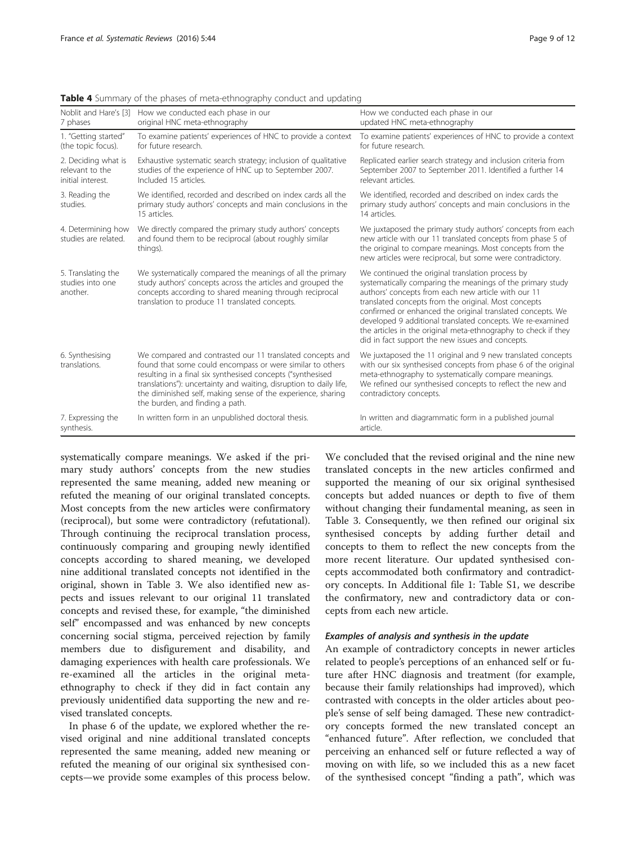| Noblit and Hare's [3]<br>7 phases                           | How we conducted each phase in our<br>original HNC meta-ethnography                                                                                                                                                                                                                                                                                            | How we conducted each phase in our<br>updated HNC meta-ethnography                                                                                                                                                                                                                                                                                                                                                                                                              |
|-------------------------------------------------------------|----------------------------------------------------------------------------------------------------------------------------------------------------------------------------------------------------------------------------------------------------------------------------------------------------------------------------------------------------------------|---------------------------------------------------------------------------------------------------------------------------------------------------------------------------------------------------------------------------------------------------------------------------------------------------------------------------------------------------------------------------------------------------------------------------------------------------------------------------------|
| 1. "Getting started"<br>(the topic focus).                  | To examine patients' experiences of HNC to provide a context<br>for future research.                                                                                                                                                                                                                                                                           | To examine patients' experiences of HNC to provide a context<br>for future research.                                                                                                                                                                                                                                                                                                                                                                                            |
| 2. Deciding what is<br>relevant to the<br>initial interest. | Exhaustive systematic search strategy; inclusion of qualitative<br>studies of the experience of HNC up to September 2007.<br>Included 15 articles.                                                                                                                                                                                                             | Replicated earlier search strategy and inclusion criteria from<br>September 2007 to September 2011. Identified a further 14<br>relevant articles.                                                                                                                                                                                                                                                                                                                               |
| 3. Reading the<br>studies.                                  | We identified, recorded and described on index cards all the<br>primary study authors' concepts and main conclusions in the<br>15 articles.                                                                                                                                                                                                                    | We identified, recorded and described on index cards the<br>primary study authors' concepts and main conclusions in the<br>14 articles.                                                                                                                                                                                                                                                                                                                                         |
| 4. Determining how<br>studies are related.                  | We directly compared the primary study authors' concepts<br>and found them to be reciprocal (about roughly similar<br>things).                                                                                                                                                                                                                                 | We juxtaposed the primary study authors' concepts from each<br>new article with our 11 translated concepts from phase 5 of<br>the original to compare meanings. Most concepts from the<br>new articles were reciprocal, but some were contradictory.                                                                                                                                                                                                                            |
| 5. Translating the<br>studies into one<br>another.          | We systematically compared the meanings of all the primary<br>study authors' concepts across the articles and grouped the<br>concepts according to shared meaning through reciprocal<br>translation to produce 11 translated concepts.                                                                                                                         | We continued the original translation process by<br>systematically comparing the meanings of the primary study<br>authors' concepts from each new article with our 11<br>translated concepts from the original. Most concepts<br>confirmed or enhanced the original translated concepts. We<br>developed 9 additional translated concepts. We re-examined<br>the articles in the original meta-ethnography to check if they<br>did in fact support the new issues and concepts. |
| 6. Synthesising<br>translations.                            | We compared and contrasted our 11 translated concepts and<br>found that some could encompass or were similar to others<br>resulting in a final six synthesised concepts ("synthesised<br>translations"): uncertainty and waiting, disruption to daily life,<br>the diminished self, making sense of the experience, sharing<br>the burden, and finding a path. | We juxtaposed the 11 original and 9 new translated concepts<br>with our six synthesised concepts from phase 6 of the original<br>meta-ethnography to systematically compare meanings.<br>We refined our synthesised concepts to reflect the new and<br>contradictory concepts.                                                                                                                                                                                                  |
| 7. Expressing the<br>synthesis.                             | In written form in an unpublished doctoral thesis.                                                                                                                                                                                                                                                                                                             | In written and diagrammatic form in a published journal<br>article.                                                                                                                                                                                                                                                                                                                                                                                                             |

<span id="page-8-0"></span>Table 4 Summary of the phases of meta-ethnography conduct and updating

systematically compare meanings. We asked if the primary study authors' concepts from the new studies represented the same meaning, added new meaning or refuted the meaning of our original translated concepts. Most concepts from the new articles were confirmatory (reciprocal), but some were contradictory (refutational). Through continuing the reciprocal translation process, continuously comparing and grouping newly identified concepts according to shared meaning, we developed nine additional translated concepts not identified in the original, shown in Table [3](#page-7-0). We also identified new aspects and issues relevant to our original 11 translated concepts and revised these, for example, "the diminished self" encompassed and was enhanced by new concepts concerning social stigma, perceived rejection by family members due to disfigurement and disability, and damaging experiences with health care professionals. We re-examined all the articles in the original metaethnography to check if they did in fact contain any previously unidentified data supporting the new and revised translated concepts.

In phase 6 of the update, we explored whether the revised original and nine additional translated concepts represented the same meaning, added new meaning or refuted the meaning of our original six synthesised concepts—we provide some examples of this process below. We concluded that the revised original and the nine new translated concepts in the new articles confirmed and supported the meaning of our six original synthesised concepts but added nuances or depth to five of them without changing their fundamental meaning, as seen in Table [3.](#page-7-0) Consequently, we then refined our original six synthesised concepts by adding further detail and concepts to them to reflect the new concepts from the more recent literature. Our updated synthesised concepts accommodated both confirmatory and contradictory concepts. In Additional file [1](#page-10-0): Table S1, we describe the confirmatory, new and contradictory data or concepts from each new article.

#### Examples of analysis and synthesis in the update

An example of contradictory concepts in newer articles related to people's perceptions of an enhanced self or future after HNC diagnosis and treatment (for example, because their family relationships had improved), which contrasted with concepts in the older articles about people's sense of self being damaged. These new contradictory concepts formed the new translated concept an "enhanced future". After reflection, we concluded that perceiving an enhanced self or future reflected a way of moving on with life, so we included this as a new facet of the synthesised concept "finding a path", which was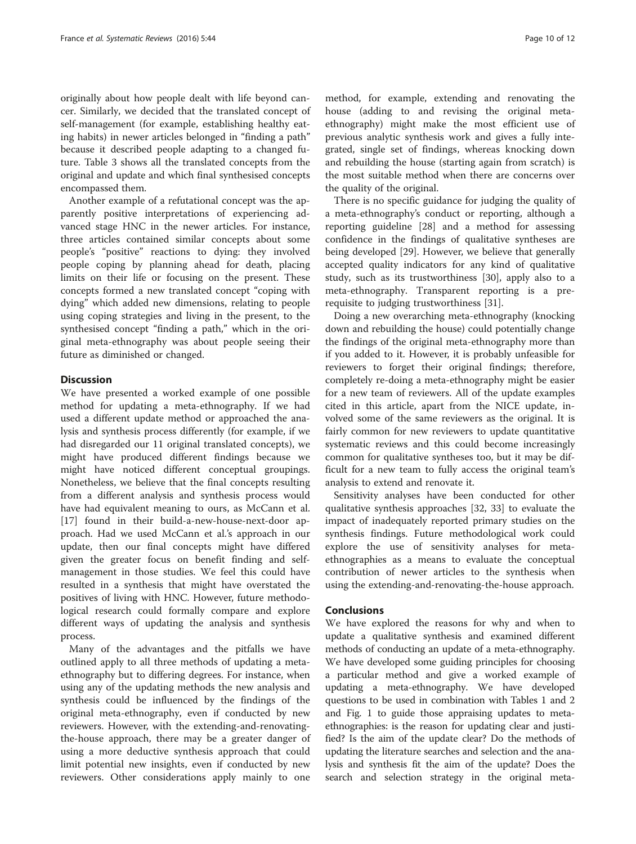originally about how people dealt with life beyond cancer. Similarly, we decided that the translated concept of self-management (for example, establishing healthy eating habits) in newer articles belonged in "finding a path" because it described people adapting to a changed future. Table [3](#page-7-0) shows all the translated concepts from the original and update and which final synthesised concepts encompassed them.

Another example of a refutational concept was the apparently positive interpretations of experiencing advanced stage HNC in the newer articles. For instance, three articles contained similar concepts about some people's "positive" reactions to dying: they involved people coping by planning ahead for death, placing limits on their life or focusing on the present. These concepts formed a new translated concept "coping with dying" which added new dimensions, relating to people using coping strategies and living in the present, to the synthesised concept "finding a path," which in the original meta-ethnography was about people seeing their future as diminished or changed.

## **Discussion**

We have presented a worked example of one possible method for updating a meta-ethnography. If we had used a different update method or approached the analysis and synthesis process differently (for example, if we had disregarded our 11 original translated concepts), we might have produced different findings because we might have noticed different conceptual groupings. Nonetheless, we believe that the final concepts resulting from a different analysis and synthesis process would have had equivalent meaning to ours, as McCann et al. [[17\]](#page-10-0) found in their build-a-new-house-next-door approach. Had we used McCann et al.'s approach in our update, then our final concepts might have differed given the greater focus on benefit finding and selfmanagement in those studies. We feel this could have resulted in a synthesis that might have overstated the positives of living with HNC. However, future methodological research could formally compare and explore different ways of updating the analysis and synthesis process.

Many of the advantages and the pitfalls we have outlined apply to all three methods of updating a metaethnography but to differing degrees. For instance, when using any of the updating methods the new analysis and synthesis could be influenced by the findings of the original meta-ethnography, even if conducted by new reviewers. However, with the extending-and-renovatingthe-house approach, there may be a greater danger of using a more deductive synthesis approach that could limit potential new insights, even if conducted by new reviewers. Other considerations apply mainly to one

method, for example, extending and renovating the house (adding to and revising the original metaethnography) might make the most efficient use of previous analytic synthesis work and gives a fully integrated, single set of findings, whereas knocking down and rebuilding the house (starting again from scratch) is the most suitable method when there are concerns over the quality of the original.

There is no specific guidance for judging the quality of a meta-ethnography's conduct or reporting, although a reporting guideline [\[28](#page-10-0)] and a method for assessing confidence in the findings of qualitative syntheses are being developed [[29](#page-10-0)]. However, we believe that generally accepted quality indicators for any kind of qualitative study, such as its trustworthiness [[30\]](#page-11-0), apply also to a meta-ethnography. Transparent reporting is a prerequisite to judging trustworthiness [[31](#page-11-0)].

Doing a new overarching meta-ethnography (knocking down and rebuilding the house) could potentially change the findings of the original meta-ethnography more than if you added to it. However, it is probably unfeasible for reviewers to forget their original findings; therefore, completely re-doing a meta-ethnography might be easier for a new team of reviewers. All of the update examples cited in this article, apart from the NICE update, involved some of the same reviewers as the original. It is fairly common for new reviewers to update quantitative systematic reviews and this could become increasingly common for qualitative syntheses too, but it may be difficult for a new team to fully access the original team's analysis to extend and renovate it.

Sensitivity analyses have been conducted for other qualitative synthesis approaches [\[32, 33\]](#page-11-0) to evaluate the impact of inadequately reported primary studies on the synthesis findings. Future methodological work could explore the use of sensitivity analyses for metaethnographies as a means to evaluate the conceptual contribution of newer articles to the synthesis when using the extending-and-renovating-the-house approach.

## **Conclusions**

We have explored the reasons for why and when to update a qualitative synthesis and examined different methods of conducting an update of a meta-ethnography. We have developed some guiding principles for choosing a particular method and give a worked example of updating a meta-ethnography. We have developed questions to be used in combination with Tables [1](#page-2-0) and [2](#page-5-0) and Fig. [1](#page-3-0) to guide those appraising updates to metaethnographies: is the reason for updating clear and justified? Is the aim of the update clear? Do the methods of updating the literature searches and selection and the analysis and synthesis fit the aim of the update? Does the search and selection strategy in the original meta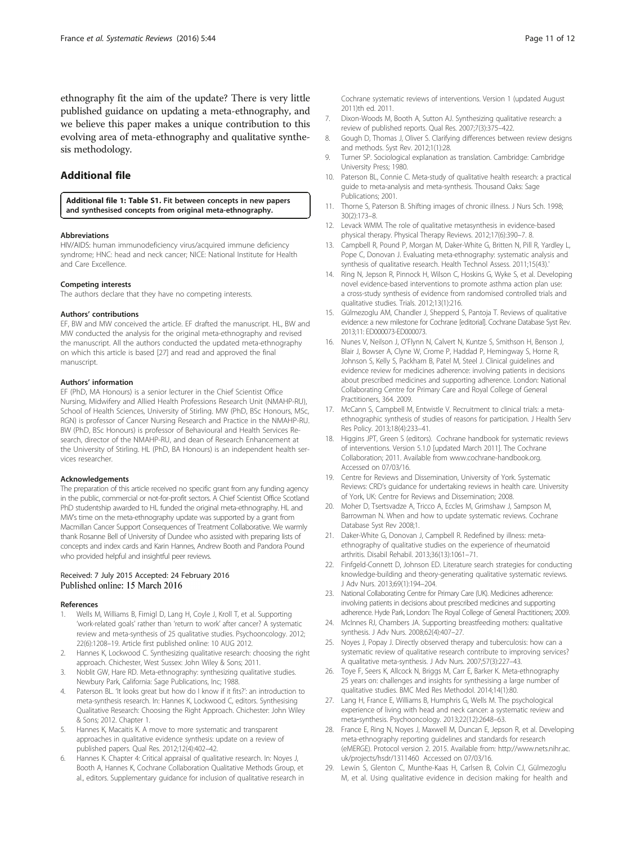<span id="page-10-0"></span>ethnography fit the aim of the update? There is very little published guidance on updating a meta-ethnography, and we believe this paper makes a unique contribution to this evolving area of meta-ethnography and qualitative synthesis methodology.

## Additional file

[Additional file 1: Table S1.](dx.doi.org/10.1186/s13643-016-0218-4) Fit between concepts in new papers and synthesised concepts from original meta-ethnography.

#### Abbreviations

HIV/AIDS: human immunodeficiency virus/acquired immune deficiency syndrome; HNC: head and neck cancer; NICE: National Institute for Health and Care Excellence.

#### Competing interests

The authors declare that they have no competing interests.

#### Authors' contributions

EF, BW and MW conceived the article. EF drafted the manuscript. HL, BW and MW conducted the analysis for the original meta-ethnography and revised the manuscript. All the authors conducted the updated meta-ethnography on which this article is based [27] and read and approved the final manuscript.

#### Authors' information

EF (PhD, MA Honours) is a senior lecturer in the Chief Scientist Office Nursing, Midwifery and Allied Health Professions Research Unit (NMAHP-RU), School of Health Sciences, University of Stirling. MW (PhD, BSc Honours, MSc, RGN) is professor of Cancer Nursing Research and Practice in the NMAHP-RU. BW (PhD, BSc Honours) is professor of Behavioural and Health Services Research, director of the NMAHP-RU, and dean of Research Enhancement at the University of Stirling. HL (PhD, BA Honours) is an independent health services researcher.

#### Acknowledgements

The preparation of this article received no specific grant from any funding agency in the public, commercial or not-for-profit sectors. A Chief Scientist Office Scotland PhD studentship awarded to HL funded the original meta-ethnography. HL and MW's time on the meta-ethnography update was supported by a grant from Macmillan Cancer Support Consequences of Treatment Collaborative. We warmly thank Rosanne Bell of University of Dundee who assisted with preparing lists of concepts and index cards and Karin Hannes, Andrew Booth and Pandora Pound who provided helpful and insightful peer reviews.

#### Received: 7 July 2015 Accepted: 24 February 2016 Published online: 15 March 2016

#### References

- 1. Wells M, Williams B, Firnigl D, Lang H, Coyle J, Kroll T, et al. Supporting 'work-related goals' rather than 'return to work' after cancer? A systematic review and meta-synthesis of 25 qualitative studies. Psychooncology. 2012; 22(6):1208–19. Article first published online: 10 AUG 2012.
- 2. Hannes K, Lockwood C. Synthesizing qualitative research: choosing the right approach. Chichester, West Sussex: John Wiley & Sons; 2011.
- Noblit GW, Hare RD. Meta-ethnography: synthesizing qualitative studies. Newbury Park, California: Sage Publications, Inc; 1988.
- 4. Paterson BL. 'It looks great but how do I know if it fits?': an introduction to meta-synthesis research. In: Hannes K, Lockwood C, editors. Synthesising Qualitative Research: Choosing the Right Approach. Chichester: John Wiley & Sons; 2012. Chapter 1.
- 5. Hannes K, Macaitis K. A move to more systematic and transparent approaches in qualitative evidence synthesis: update on a review of published papers. Qual Res. 2012;12(4):402–42.
- Hannes K. Chapter 4: Critical appraisal of qualitative research. In: Noyes J, Booth A, Hannes K, Cochrane Collaboration Qualitative Methods Group, et al., editors. Supplementary guidance for inclusion of qualitative research in

Cochrane systematic reviews of interventions. Version 1 (updated August 2011)th ed. 2011.

- 7. Dixon-Woods M, Booth A, Sutton AJ. Synthesizing qualitative research: a review of published reports. Qual Res. 2007;7(3):375–422.
- Gough D, Thomas J, Oliver S. Clarifying differences between review designs and methods. Syst Rev. 2012;1(1):28.
- 9. Turner SP. Sociological explanation as translation. Cambridge: Cambridge University Press; 1980.
- 10. Paterson BL, Connie C. Meta-study of qualitative health research: a practical guide to meta-analysis and meta-synthesis. Thousand Oaks: Sage Publications; 2001.
- 11. Thorne S, Paterson B. Shifting images of chronic illness. J Nurs Sch. 1998; 30(2):173–8.
- 12. Levack WMM. The role of qualitative metasynthesis in evidence-based physical therapy. Physical Therapy Reviews. 2012;17(6):390–7. 8.
- 13. Campbell R, Pound P, Morgan M, Daker-White G, Britten N, Pill R, Yardley L, Pope C, Donovan J. Evaluating meta-ethnography: systematic analysis and synthesis of qualitative research. Health Technol Assess. 2011;15(43).
- 14. Ring N, Jepson R, Pinnock H, Wilson C, Hoskins G, Wyke S, et al. Developing novel evidence-based interventions to promote asthma action plan use: a cross-study synthesis of evidence from randomised controlled trials and qualitative studies. Trials. 2012;13(1):216.
- 15. Gülmezoglu AM, Chandler J, Shepperd S, Pantoja T. Reviews of qualitative evidence: a new milestone for Cochrane [editorial]. Cochrane Database Syst Rev. 2013;11: ED000073-ED000073.
- 16. Nunes V, Neilson J, O'Flynn N, Calvert N, Kuntze S, Smithson H, Benson J, Blair J, Bowser A, Clyne W, Crome P, Haddad P, Hemingway S, Horne R, Johnson S, Kelly S, Packham B, Patel M, Steel J. Clinical guidelines and evidence review for medicines adherence: involving patients in decisions about prescribed medicines and supporting adherence. London: National Collaborating Centre for Primary Care and Royal College of General Practitioners, 364. 2009.
- 17. McCann S, Campbell M, Entwistle V. Recruitment to clinical trials: a metaethnographic synthesis of studies of reasons for participation. J Health Serv Res Policy. 2013;18(4):233–41.
- 18. Higgins JPT, Green S (editors). Cochrane handbook for systematic reviews of interventions. Version 5.1.0 [updated March 2011]. The Cochrane Collaboration; 2011. Available from [www.cochrane-handbook.org](http://www.cochrane-handbook.org). Accessed on 07/03/16.
- 19. Centre for Reviews and Dissemination, University of York. Systematic Reviews: CRD's guidance for undertaking reviews in health care. University of York, UK: Centre for Reviews and Dissemination; 2008.
- 20. Moher D, Tsertsvadze A, Tricco A, Eccles M, Grimshaw J, Sampson M, Barrowman N. When and how to update systematic reviews. Cochrane Database Syst Rev 2008;1.
- 21. Daker-White G, Donovan J, Campbell R. Redefined by illness: metaethnography of qualitative studies on the experience of rheumatoid arthritis. Disabil Rehabil. 2013;36(13):1061–71.
- 22. Finfgeld-Connett D, Johnson ED. Literature search strategies for conducting knowledge-building and theory-generating qualitative systematic reviews. J Adv Nurs. 2013;69(1):194–204.
- 23. National Collaborating Centre for Primary Care (UK). Medicines adherence: involving patients in decisions about prescribed medicines and supporting adherence. Hyde Park, London: The Royal College of General Practitioners; 2009.
- 24. McInnes RJ, Chambers JA. Supporting breastfeeding mothers: qualitative synthesis. J Adv Nurs. 2008;62(4):407–27.
- 25. Noyes J, Popay J. Directly observed therapy and tuberculosis: how can a systematic review of qualitative research contribute to improving services? A qualitative meta-synthesis. J Adv Nurs. 2007;57(3):227–43.
- 26. Toye F, Seers K, Allcock N, Briggs M, Carr E, Barker K. Meta-ethnography 25 years on: challenges and insights for synthesising a large number of qualitative studies. BMC Med Res Methodol. 2014;14(1):80.
- 27. Lang H, France E, Williams B, Humphris G, Wells M. The psychological experience of living with head and neck cancer: a systematic review and meta‐synthesis. Psychooncology. 2013;22(12):2648–63.
- 28. France E, Ring N, Noyes J, Maxwell M, Duncan E, Jepson R, et al. Developing meta-ethnography reporting guidelines and standards for research (eMERGE). Protocol version 2. 2015. Available from: [http://www.nets.nihr.ac.](http://www.nets.nihr.ac.uk/projects/hsdr/1311460) [uk/projects/hsdr/1311460](http://www.nets.nihr.ac.uk/projects/hsdr/1311460) Accessed on 07/03/16.
- 29. Lewin S, Glenton C, Munthe-Kaas H, Carlsen B, Colvin CJ, Gülmezoglu M, et al. Using qualitative evidence in decision making for health and